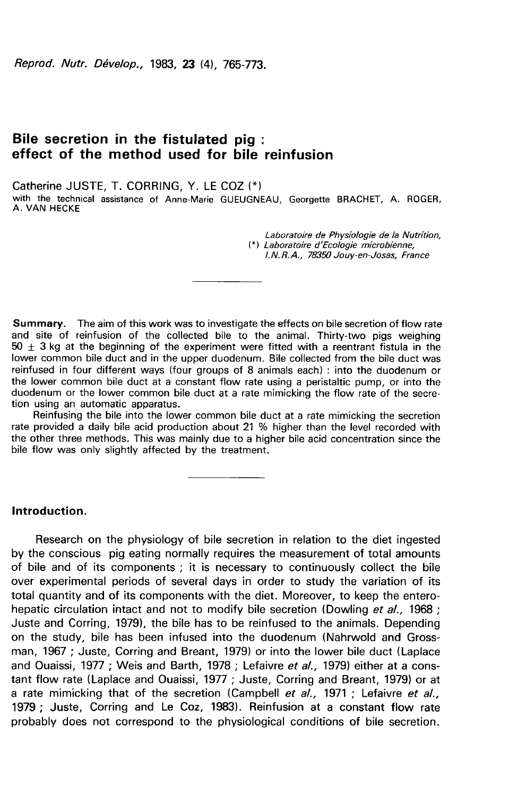Reprod. Nutr. Dévelop., 1983, 23 (4), 765-773.

# Bile secretion in the fistulated pig : effect of the method used for bile reinfusion

Catherine JUSTE, T. CORRING, Y. LE COZ (\*)

with the technical assistance of Anne-Marie GUEUGNEAU, Georgette BRACHET, A. ROGER, A.

Laboratoire de Physiologie de la Nutrition, (\*) Laboratoire d'Ecologie microbienne, LN. R. A., 78350 Jouy-en-Josas, France

Summary. The aim of this work was to investigate the effects on bile secretion of flow rate and site of reinfusion of the collected bile to the animal. Thirty-two pigs weighing 50  $\pm$  3 kg at the beginning of the experiment were fitted with a reentrant fistula in the lower common bile duct and in the upper duodenum. Bile collected from the bile duct was reinfused in four different ways (four groups of 8 animals each) : into the duodenum or the lower common bile duct at a constant flow rate using a peristaltic pump, or into the duodenum or the lower common bile duct at a rate mimicking the flow rate of the secretion using an automatic apparatus.

Reinfusing the bile into the lower common bile duct at a rate mimicking the secretion rate provided a daily bile acid production about 21 % higher than the level recorded with the other three methods. This was mainly due to a higher bile acid concentration since the bile flow was only slightly affected by the treatment.

# Introduction.

Research on the physiology of bile secretion in relation to the diet ingested by the conscious pig eating normally requires the measurement of total amounts of bile and of its components ; it is necessary to continuously collect the bile over experimental periods of several days in order to study the variation of its total quantity and of its components with the diet. Moreover, to keep the enterohepatic circulation intact and not to modify bile secretion (Dowling et al., 1968; Juste and Corring, 1979), the bile has to be reinfused to the animals. Depending on the study, bile has been infused into the duodenum (Nahrwold and Grossman, 1967 ; Juste, Corring and Breant, 1979) or into the lower bile duct (Laplace and Ouaissi, 1977 ; Weis and Barth, 1978 ; Lefaivre et al., 1979) either at a constant flow rate (Laplace and Ouaissi, 1977 ; Juste, Corring and Breant, 1979) or at a rate mimicking that of the secretion (Campbell et al., 1971 ; Lefaivre et al., 1979 ; Juste, Corring and Le Coz, 1983). Reinfusion at a constant flow rate probably does not correspond to the physiological conditions of bile secretion.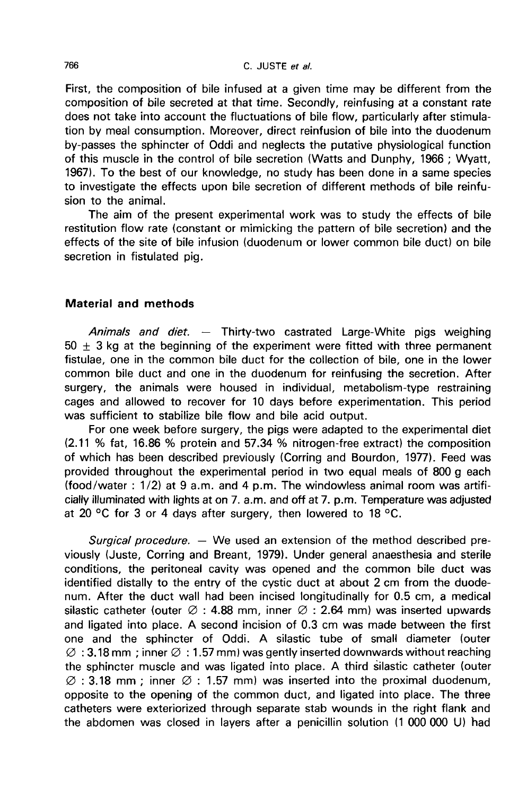First, the composition of bile infused at a given time may be different from the composition of bile secreted at that time. Secondly, reinfusing at a constant rate does not take into account the fluctuations of bile flow, particularly after stimulation by meal consumption. Moreover, direct reinfusion of bile into the duodenum by-passes the sphincter of Oddi and neglects the putative physiological function of this muscle in the control of bile secretion (Watts and Dunphy, 1966 ; Wyatt, 1967). To the best of our knowledge, no study has been done in a same species to investigate the effects upon bile secretion of different methods of bile reinfusion to the animal.

The aim of the present experimental work was to study the effects of bile restitution flow rate (constant or mimicking the pattern of bile secretion) and the effects of the site of bile infusion (duodenum or lower common bile duct) on bile secretion in fistulated pig.

# Material and methods

Animals and diet.  $-$  Thirty-two castrated Large-White pigs weighing  $50 \pm 3$  kg at the beginning of the experiment were fitted with three permanent fistulae, one in the common bile duct for the collection of bile, one in the lower common bile duct and one in the duodenum for reinfusing the secretion. After surgery, the animals were housed in individual, metabolism-type restraining cages and allowed to recover for 10 days before experimentation. This period was sufficient to stabilize bile flow and bile acid output.

For one week before surgery, the pigs were adapted to the experimental diet (2.11 % fat, 16.86 % protein and 57.34 % nitrogen-free extract) the composition of which has been described previously (Corring and Bourdon, 1977). Feed was provided throughout the experimental period in two equal meals of 800 g each (food/water : 1/2) at 9 a.m. and 4 p.m. The windowless animal room was artificially illuminated with lights at on 7. a.m. and off at 7. p.m. Temperature was adjusted at 20 °C for 3 or 4 days after surgery, then lowered to 18 °C.

Surgical procedure.  $-$  We used an extension of the method described previously (Juste, Corring and Breant, 1979). Under general anaesthesia and sterile conditions, the peritoneal cavity was opened and the common bile duct was identified distally to the entry of the cystic duct at about 2 cm from the duodenum. After the duct wall had been incised longitudinally for 0.5 cm, a medical silastic catheter (outer  $\varnothing$  : 4.88 mm, inner  $\varnothing$  : 2.64 mm) was inserted upwards and ligated into place. A second incision of 0.3 cm was made between the first one and the sphincter of Oddi. A silastic tube of small diameter (outer  $\varnothing$ : 3.18 mm; inner  $\varnothing$ : 1.57 mm) was gently inserted downwards without reaching the sphincter muscle and was ligated into place. A third silastic catheter (outer  $\emptyset$  : 3.18 mm; inner  $\emptyset$  : 1.57 mm) was inserted into the proximal duodenum, opposite to the opening of the common duct, and ligated into place. The three catheters were exteriorized through separate stab wounds in the right flank and the abdomen was closed in layers after a penicillin solution (1 000 000 U) had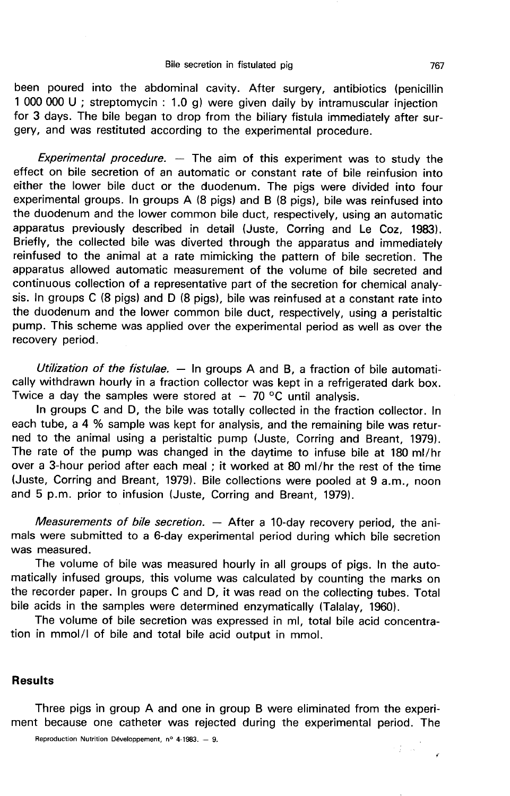been poured into the abdominal cavity. After surgery, antibiotics (penicillin 1 000 000 U ; streptomycin : 1.0 g) were given daily by intramuscular injection for 3 days. The bile began to drop from the biliary fistula immediately after surgery, and was restituted according to the experimental procedure.

Experimental procedure.  $-$  The aim of this experiment was to study the effect on bile secretion of an automatic or constant rate of bile reinfusion into either the lower bile duct or the duodenum. The pigs were divided into four experimental groups. In groups A (8 pigs) and B (8 pigs), bile was reinfused into the duodenum and the lower common bile duct, respectively, using an automatic apparatus previously described in detail (Juste, Corring and Le Coz, 1983). Briefly, the collected bile was diverted through the apparatus and immediately reinfused to the animal at a rate mimicking the pattern of bile secretion. The apparatus allowed automatic measurement of the volume of bile secreted and continuous collection of a representative part of the secretion for chemical analysis. In groups C (8 pigs) and D (8 pigs), bile was reinfused at a constant rate into the duodenum and the lower common bile duct, respectively, using a peristaltic pump. This scheme was applied over the experimental period as well as over the recovery period.

Utilization of the fistulae.  $-$  In groups A and B, a fraction of bile automatically withdrawn hourly in a fraction collector was kept in a refrigerated dark box. Twice a day the samples were stored at  $-70$  °C until analysis.

In groups C and D, the bile was totally collected in the fraction collector. In each tube, a 4 % sample was kept for analysis, and the remaining bile was returned to the animal using a peristaltic pump (Juste, Corring and Breant, 1979). The rate of the pump was changed in the daytime to infuse bile at 180 ml/hr over a 3-hour period after each meal ; it worked at 80 ml/hr the rest of the time (Juste, Corring and Breant, 1979). Bile collections were pooled at 9 a.m., noon and 5 p.m. prior to infusion (Juste, Corring and Breant, 1979).

*Measurements of bile secretion.*  $-$  After a 10-day recovery period, the animals were submitted to a 6-day experimental period during which bile secretion was measured.

The volume of bile was measured hourly in all groups of pigs. In the automatically infused groups, this volume was calculated by counting the marks on the recorder paper. In groups C and D, it was read on the collecting tubes. Total bile acids in the samples were determined enzymatically (Talalay, 1960).

The volume of bile secretion was expressed in ml, total bile acid concentration in mmol/I of bile and total bile acid output in mmol.

# Results

Three pigs in group A and one in group B were eliminated from the experiment because one catheter was rejected during the experimental period. The Ilts<br>Three pigs in group A and one in group B were eliminated from the experimental period.<br>The Reproduction Nutrition Développement, n° 4-1983. – 9.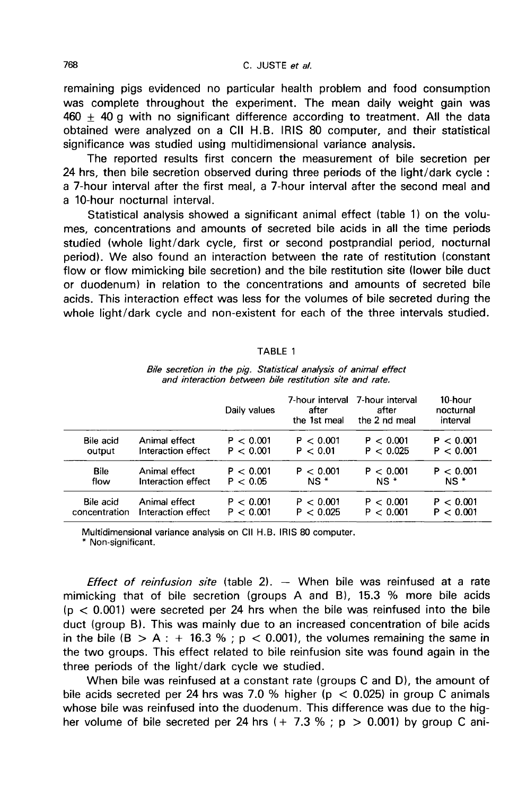remaining pigs evidenced no particular health problem and food consumption was complete throughout the experiment. The mean daily weight gain was 460  $\pm$  40 g with no significant difference according to treatment. All the data obtained were analyzed on a Cil H.B. IRIS 80 computer, and their statistical significance was studied using multidimensional variance analysis.

The reported results first concern the measurement of bile secretion per 24 hrs, then bile secretion observed during three periods of the light/dark cycle : a 7-hour interval after the first meal, a 7-hour interval after the second meal and a 10-hour nocturnal interval.

Statistical analysis showed a significant animal effect (table 1) on the volumes, concentrations and amounts of secreted bile acids in all the time periods studied (whole light/dark cycle, first or second postprandial period, nocturnal period). We also found an interaction between the rate of restitution (constant flow or flow mimicking bile secretion) and the bile restitution site (lower bile duct or duodenum) in relation to the concentrations and amounts of secreted bile acids. This interaction effect was less for the volumes of bile secreted during the whole light/dark cycle and non-existent for each of the three intervals studied.

### TABLE 1

|               |                    | Daily values | after<br>the 1st meal | 7-hour interval 7-hour interval<br>after<br>the 2 nd meal | 10-hour<br>nocturnal<br>interval |
|---------------|--------------------|--------------|-----------------------|-----------------------------------------------------------|----------------------------------|
| Bile acid     | Animal effect      | P < 0.001    | P < 0.001             | P < 0.001                                                 | P < 0.001                        |
| output        | Interaction effect | P < 0.001    | P < 0.01              | P < 0.025                                                 | P < 0.001                        |
| Bile          | Animal effect      | P < 0.001    | P < 0.001             | P < 0.001                                                 | P < 0.001                        |
| flow          | Interaction effect | P < 0.05     | $NS *$                | $NS*$                                                     | $NS*$                            |
| Bile acid     | Animal effect      | P < 0.001    | P < 0.001             | P < 0.001                                                 | P < 0.001                        |
| concentration | Interaction effect | P < 0.001    | P < 0.025             | P < 0.001                                                 | P < 0.001                        |

| Bile secretion in the pig. Statistical analysis of animal effect |
|------------------------------------------------------------------|
| and interaction between bile restitution site and rate.          |

Multidimensional variance analysis on CII H.B. IRIS 80 computer.

\* Non-significant.

*Effect of reinfusion site* (table 2).  $-$  When bile was reinfused at a rate mimicking that of bile secretion (groups A and B), 15.3 % more bile acids  $(p < 0.001)$  were secreted per 24 hrs when the bile was reinfused into the bile duct (group B). This was mainly due to an increased concentration of bile acids in the bile (B  $> A : + 16.3 %$ ; p < 0.001), the volumes remaining the same in the two groups. This effect related to bile reinfusion site was found again in the three periods of the light/dark cycle we studied.

When bile was reinfused at a constant rate (groups C and D), the amount of bile acids secreted per 24 hrs was 7.0 % higher ( $p < 0.025$ ) in group C animals whose bile was reinfused into the duodenum. This difference was due to the higher volume of bile secreted per 24 hrs  $(+ 7.3 %; p > 0.001)$  by group C ani-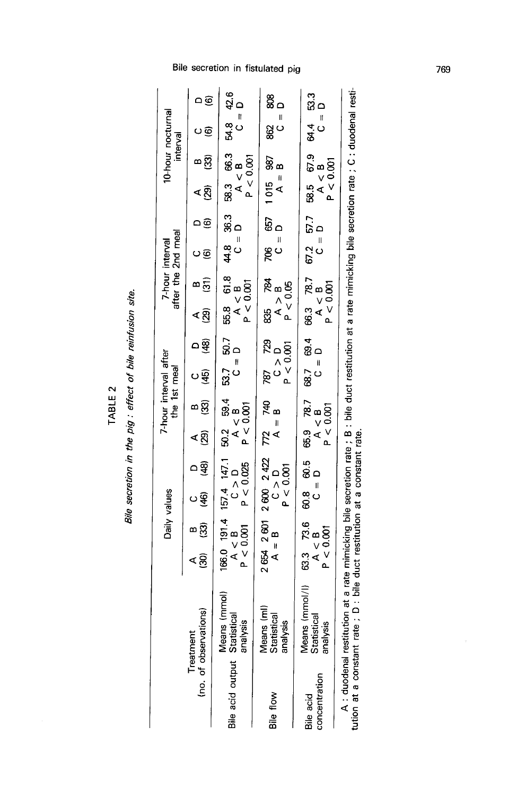| c<br>u |  |
|--------|--|
| ш      |  |
|        |  |
| m      |  |
|        |  |
|        |  |

# Bile secretion in the pig : effect of bile reinfusion site.

|                              |                                                                                                                                                                                                                                   |                                                                                                                                  | Daily values                   |          |                | 7-hour interval after<br>the 1st meal                                                                                                                         |                                                  | after the 2nd meal<br>7-hour interval                |     |                                                         | interval | 10-hour nocturnal |    |
|------------------------------|-----------------------------------------------------------------------------------------------------------------------------------------------------------------------------------------------------------------------------------|----------------------------------------------------------------------------------------------------------------------------------|--------------------------------|----------|----------------|---------------------------------------------------------------------------------------------------------------------------------------------------------------|--------------------------------------------------|------------------------------------------------------|-----|---------------------------------------------------------|----------|-------------------|----|
|                              | (no. of observations)<br>Treatment                                                                                                                                                                                                |                                                                                                                                  | $(A)$ B (46)<br>(30) (33) (46) | ିକୁ<br>ବ | A<br>(29) (33) | $\begin{pmatrix} 1 & 0 \\ 0 & 0 \\ 0 & 0 \end{pmatrix}$                                                                                                       | $\begin{pmatrix} 4 & 8 \\ 29 & 31 \end{pmatrix}$ | ပ®<br>(                                              | o © | A<br>(29) (33)                                          |          | ပ©                | o© |
| Bile acid output Statistical | (mmal)<br>analysis<br>Means                                                                                                                                                                                                       |                                                                                                                                  |                                |          |                | 166.0 191.4 157.4 147.1 50.2 59.4 53.7 50.7 55.8 61.8 44.8 36.3<br>A < B C > D A < B C = D A < B C = D<br>P < 0.001 P < 0.025 P < 0.001 C = D P < 0.001 C = D |                                                  |                                                      |     | $38.3$ 66.3 54.8 42.6<br>$A < B$ $C = D$<br>$P < 0.001$ |          |                   |    |
| Bile flow                    | Means (ml)<br>Statistical<br>analysis                                                                                                                                                                                             | 2 654 2 601 2 600 2 422 772 740 787 789 835 784<br>$A = B$ $C > D$ $A = B$ $C > D$ $A > B$<br>$P < 0.001$ $P < 0.001$ $P < 0.05$ |                                |          |                |                                                                                                                                                               |                                                  | 706 657 1 015 987 862 808<br>$C = D$ $A = B$ $C = D$ |     |                                                         |          |                   |    |
| concentration<br>Bile acid   | (mmol/l) 63.3 73.6 60.8 60.5 65.9 78.7 69.4 66.3 78.7 67.2 57.7 58.5 67.9 64.4 53.3<br> cal A < B C = D A < B A < B A < B C = D A < B A < B A < B C = D P < 0.001 C = D<br><b>Statistical</b><br>analysis<br>Means                |                                                                                                                                  |                                |          |                |                                                                                                                                                               |                                                  |                                                      |     |                                                         |          |                   |    |
| tution at a constant rate    | A : duodenal restitution at a rate mimicking bile secretion rate ; B : bile duct restitution at a rate mimicking bile secretion rate ; C : duodenal resti-<br>on at a constant rate ; D : bile duct restitution at a constant rat |                                                                                                                                  |                                |          |                |                                                                                                                                                               |                                                  |                                                      |     |                                                         |          |                   |    |

Bile secretion in fistulated pig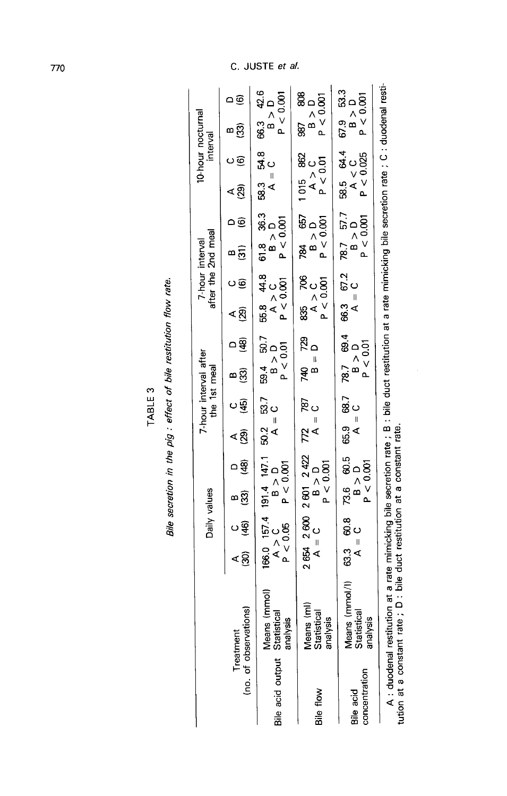| ۴<br>э. |  |
|---------|--|
| ш       |  |
|         |  |
| ă       |  |
|         |  |
|         |  |

Bile secretion in the pig : effect of bile restitution flow rate.

|                                          |                                                                                                                                                                                                                             |       | Daily values                                                                                                                                                                              |           |                                | 7-hour interval after<br>the 1st meal |                                           |             | 7-hour interval<br>after the 2nd meal |                |                          | interval | 10-hour nocturnal |    |
|------------------------------------------|-----------------------------------------------------------------------------------------------------------------------------------------------------------------------------------------------------------------------------|-------|-------------------------------------------------------------------------------------------------------------------------------------------------------------------------------------------|-----------|--------------------------------|---------------------------------------|-------------------------------------------|-------------|---------------------------------------|----------------|--------------------------|----------|-------------------|----|
|                                          |                                                                                                                                                                                                                             |       |                                                                                                                                                                                           |           |                                |                                       |                                           |             |                                       |                |                          |          |                   |    |
| (no. of observation                      | ons)<br>Treatment                                                                                                                                                                                                           | ∢ନ୍ତି | $rac{66}{46}$                                                                                                                                                                             | a B<br>C  | D A C B<br>(48) (29) (45) (33) |                                       | $\begin{pmatrix} 48 \\ -10 \end{pmatrix}$ | ບ <u>ອີ</u> | $\mathbb{E}$                          | $\overline{a}$ | A $C$ B<br>(29) (6) (33) |          |                   | o© |
| Means (m<br>Bile acid output Statistical | (mmol)<br>analysis                                                                                                                                                                                                          |       | 166.0 157.4 191.4 147.1 50.2 53.7 59.4 50.7 55.8 44.8 61.8 36.3 58.3 54.8 66.3 42.6<br>A > C B > D A = C B > D A > C B > D A = C B > D<br>P < 0.05 P < 0.001 P < 0.01 P < 0.001 P < 0.001 |           |                                |                                       |                                           |             |                                       |                |                          |          |                   |    |
| Bile flow                                | Means (ml)<br>Statistical<br>analysis                                                                                                                                                                                       |       | 2 654 2 600 2 601 2 422 772 787 740 729 835 706 784 657 1015 862 987 808<br>A = C B > D A = C B = D A > C B > D A > C B > D<br>P < 0.001 P < 0.001                                        | P < 0.001 |                                |                                       |                                           |             |                                       |                |                          |          |                   |    |
| concentration<br>Bile acid               | (mmol/l) 63.3 60.8 73.6 60.5 65.9 68.7 78.7 69.4 66.3 67.2 78.7 57.7 58.5 64.4 67.9 53.3<br>cal $A = C$ $B > D$ $A = C$ $B > D$ $A = C$ $B > D$ $A = C$ $B > D$ $A < C$ $B > D$<br>s<br>Means (m<br>Statistical<br>analysis |       |                                                                                                                                                                                           |           |                                |                                       |                                           |             |                                       |                |                          |          |                   |    |
|                                          |                                                                                                                                                                                                                             |       | $\frac{1}{2}$ . The contention rate of the content of the content of the content of the content of $\sim$ . The content of $\sim$                                                         |           |                                |                                       |                                           |             |                                       |                |                          |          |                   |    |

<sup>;&</sup>lt;br>> - 1910<br>1010 A : duodenal restitution at a rate mimicking bile secretion rate ; B : bile duct restitution at a rate mimicking bile secretion tution at a constant rate ; D : bile duct restitution at a constant rate ; D : bile duct resti

# C. JUSTE et al.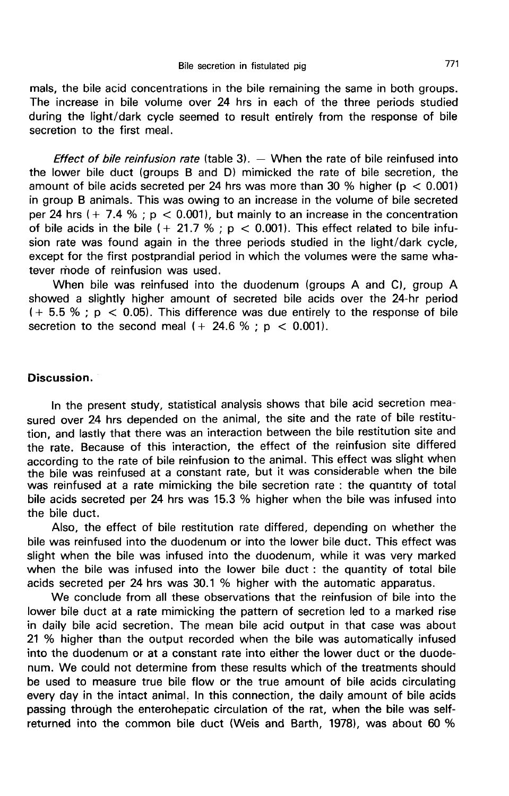mals, the bile acid concentrations in the bile remaining the same in both groups. The increase in bile volume over 24 hrs in each of the three periods studied during the light/dark cycle seemed to result entirely from the response of bile secretion to the first meal.

*Effect of bile reinfusion rate* (table 3).  $-$  When the rate of bile reinfused into the lower bile duct (groups B and D) mimicked the rate of bile secretion, the amount of bile acids secreted per 24 hrs was more than 30 % higher ( $p < 0.001$ ) in group B animals. This was owing to an increase in the volume of bile secreted per 24 hrs  $(+7.4\% : p < 0.001)$ , but mainly to an increase in the concentration of bile acids in the bile (+ 21.7 % ;  $p < 0.001$ ). This effect related to bile infusion rate was found again in the three periods studied in the light/dark cycle, except for the first postprandial period in which the volumes were the same whatever mode of reinfusion was used.

When bile was reinfused into the duodenum (groups A and C), group A showed a slightly higher amount of secreted bile acids over the 24-hr period  $(+ 5.5 %; p < 0.05)$ . This difference was due entirely to the response of bile secretion to the second meal  $(+24.6\% : p < 0.001)$ .

# Discussion.

In the present study, statistical analysis shows that bile acid secretion measured over 24 hrs depended on the animal, the site and the rate of bile restitution, and lastly that there was an interaction between the bile restitution site and the rate. Because of this interaction, the effect of the reinfusion site differed according to the rate of bile reinfusion to the animal. This effect was slight when the bile was reinfused at a constant rate, but it was considerable when the bile was reinfused at a rate mimicking the bile secretion rate : the quantity of total bile acids secreted per 24 hrs was 15.3 % higher when the bile was infused into the bile duct.

Also, the effect of bile restitution rate differed, depending on whether the bile was reinfused into the duodenum or into the lower bile duct. This effect was slight when the bile was infused into the duodenum, while it was very marked when the bile was infused into the lower bile duct : the quantity of total bile acids secreted per 24 hrs was 30.1 % higher with the automatic apparatus.

We conclude from all these observations that the reinfusion of bile into the lower bile duct at a rate mimicking the pattern of secretion led to a marked rise in daily bile acid secretion. The mean bile acid output in that case was about 21 % higher than the output recorded when the bile was automatically infused into the duodenum or at a constant rate into either the lower duct or the duodenum. We could not determine from these results which of the treatments should be used to measure true bile flow or the true amount of bile acids circulating every day in the intact animal. In this connection, the daily amount of bile acids passing through the enterohepatic circulation of the rat, when the bile was selfreturned into the common bile duct (Weis and Barth, 1978), was about 60 %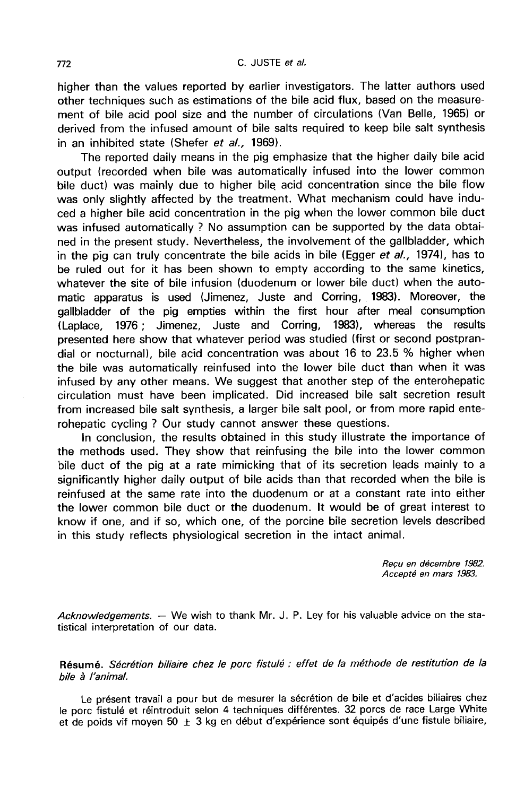higher than the values reported by earlier investigators. The latter authors used other techniques such as estimations of the bile acid flux, based on the measurement of bile acid pool size and the number of circulations (Van Belle, 1965) or derived from the infused amount of bile salts required to keep bile salt synthesis in an inhibited state (Shefer et al., 1969).

The reported daily means in the pig emphasize that the higher daily bile acid output (recorded when bile was automatically infused into the lower common bile duct) was mainly due to higher bile, acid concentration since the bile flow was only slightly affected by the treatment. What mechanism could have induced a higher bile acid concentration in the pig when the lower common bile duct was infused automatically ? No assumption can be supported by the data obtained in the present study. Nevertheless, the involvement of the gallbladder, which in the pig can truly concentrate the bile acids in bile (Egger et al., 1974), has to be ruled out for it has been shown to empty according to the same kinetics, whatever the site of bile infusion (duodenum or lower bile duct) when the automatic apparatus is used (Jimenez, Juste and Corring, 1983). Moreover, the gallbladder of the pig empties within the first hour after meal consumption<br>(Laplace, 1976; Jimenez, Juste and Corring, 1983), whereas the results (Laplace, 1976; Jimenez, Juste and Corring, presented here show that whatever period was studied (first or second postprandial or nocturnal), bile acid concentration was about 16 to 23.5 % higher when the bile was automatically reinfused into the lower bile duct than when it was infused by any other means. We suggest that another step of the enterohepatic circulation must have been implicated. Did increased bile salt secretion result from increased bile salt synthesis, a larger bile salt pool, or from more rapid enterohepatic cycling ? Our study cannot answer these questions.

In conclusion, the results obtained in this study illustrate the importance of the methods used. They show that reinfusing the bile into the lower common bile duct of the pig at a rate mimicking that of its secretion leads mainly to a significantly higher daily output of bile acids than that recorded when the bile is reinfused at the same rate into the duodenum or at a constant rate into either the lower common bile duct or the duodenum. It would be of great interest to know if one, and if so, which one, of the porcine bile secretion levels described in this study reflects physiological secretion in the intact animal.

> Recu en décembre 1982. Accepté en mars 1983.

Acknowledgements.  $-$  We wish to thank Mr. J. P. Ley for his valuable advice on the statistical interpretation of our data.

Résumé. Sécrétion biliaire chez le porc fistulé : effet de la méthode de restitution de la bile à l'animal.

Le présent travail a pour but de mesurer la sécrétion de bile et d'acides biliaires chez le porc fistulé et réintroduit selon 4 techniques différentes. 32 porcs de race Large White et de poids vif moyen 50  $\pm$  3 kg en début d'expérience sont équipés d'une fistule biliaire,